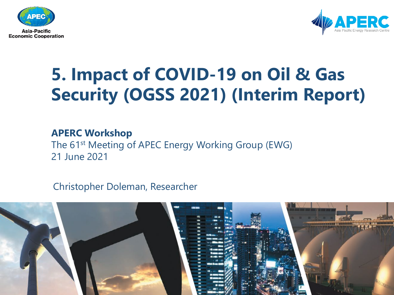



#### **5. Impact of COVID-19 on Oil & Gas Security (OGSS 2021) (Interim Report)**

#### **APERC Workshop**

The 61<sup>st</sup> Meeting of APEC Energy Working Group (EWG) 21 June 2021

Christopher Doleman, Researcher

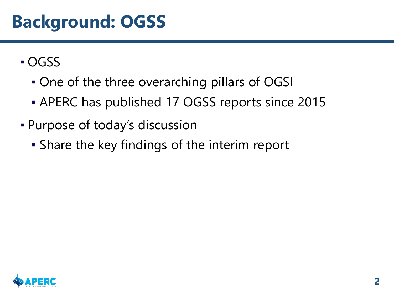#### **Background: OGSS**

- OGSS
	- One of the three overarching pillars of OGSI
	- **APERC has published 17 OGSS reports since 2015**
- Purpose of today's discussion
	- Share the key findings of the interim report

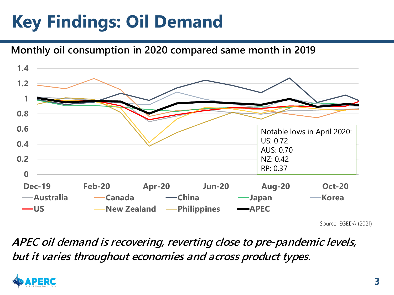### **Key Findings: Oil Demand**

#### **Monthly oil consumption in 2020 compared same month in 2019**



Source: EGEDA (2021)

**APEC oil demand is recovering, reverting close to pre-pandemic levels, but it varies throughout economies and across product types.**

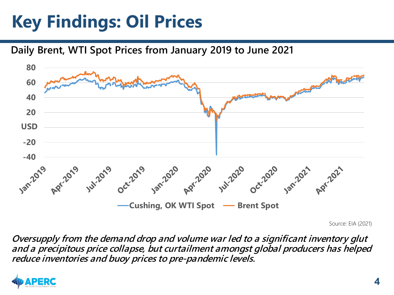### **Key Findings: Oil Prices**

**Daily Brent, WTI Spot Prices from January 2019 to June 2021**



Source: EIA (2021)

**Oversupply from the demand drop and volume war led to a significant inventory glut and a precipitous price collapse, but curtailment amongst global producers has helped reduce inventories and buoy prices to pre-pandemic levels.**

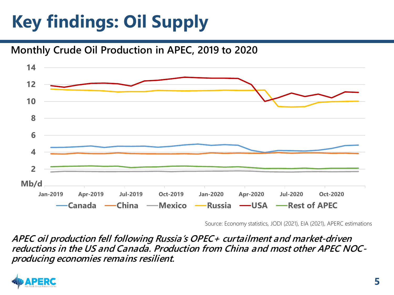# **Key findings: Oil Supply**

#### **Monthly Crude Oil Production in APEC, 2019 to 2020**



Source: Economy statistics, JODI (2021), EIA (2021), APERC estimations

**APEC oil production fell following Russia's OPEC+ curtailment and market-driven reductions in the US and Canada. Production from China and most other APEC NOCproducing economies remains resilient.**

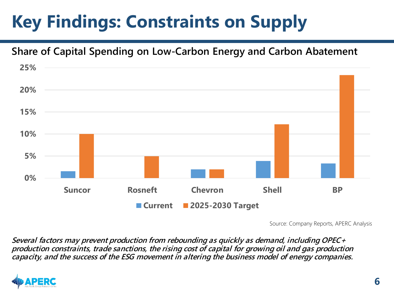# **Key Findings: Constraints on Supply**

#### **Share of Capital Spending on Low-Carbon Energy and Carbon Abatement**



Source: Company Reports, APERC Analysis

**Several factors may prevent production from rebounding as quickly as demand, including OPEC+ production constraints, trade sanctions, the rising cost of capital for growing oil and gas production capacity, and the success of the ESG movement in altering the business model of energy companies.**

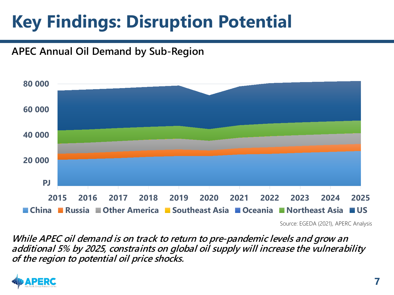#### **Key Findings: Disruption Potential**

#### **APEC Annual Oil Demand by Sub-Region**



Source: EGEDA (2021), APERC Analysis

**While APEC oil demand is on track to return to pre-pandemic levels and grow an additional 5% by 2025, constraints on global oil supply will increase the vulnerability of the region to potential oil price shocks.**

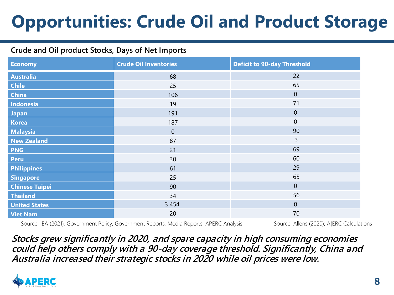### **Opportunities: Crude Oil and Product Storage**

#### **Crude and Oil product Stocks, Days of Net Imports**

| <b>Economy</b>        | <b>Crude Oil Inventories</b> | <b>Deficit to 90-day Threshold</b> |
|-----------------------|------------------------------|------------------------------------|
| <b>Australia</b>      | 68                           | 22                                 |
| <b>Chile</b>          | 25                           | 65                                 |
| <b>China</b>          | 106                          | $\theta$                           |
| Indonesia             | 19                           | 71                                 |
| <b>Japan</b>          | 191                          | $\theta$                           |
| <b>Korea</b>          | 187                          | $\mathbf 0$                        |
| <b>Malaysia</b>       | $\theta$                     | 90                                 |
| <b>New Zealand</b>    | 87                           | $\overline{3}$                     |
| <b>PNG</b>            | 21                           | 69                                 |
| <b>Peru</b>           | 30                           | 60                                 |
| <b>Philippines</b>    | 61                           | 29                                 |
| <b>Singapore</b>      | 25                           | 65                                 |
| <b>Chinese Taipei</b> | 90                           | $\theta$                           |
| <b>Thailand</b>       | 34                           | 56                                 |
| <b>United States</b>  | 3 4 5 4                      | $\theta$                           |
| <b>Viet Nam</b>       | 20                           | 70                                 |

Source: IEA (2021), Government Policy, Government Reports, Media Reports, APERC Analysis Source: Allens (2020); A{ERC Calculations

**Stocks grew significantly in 2020, and spare capacity in high consuming economies could help others comply with a 90-day coverage threshold. Significantly, China and Australia increased their strategic stocks in 2020 while oil prices were low.**

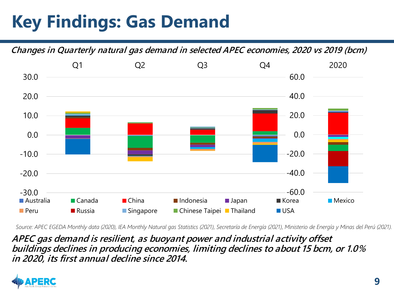### **Key Findings: Gas Demand**

**Changes in Quarterly natural gas demand in selected APEC economies, 2020 vs 2019 (bcm)**



*Source: APEC EGEDA Monthly data (2020), IEA Monthly Natural gas Statistics (2021), Secretaría de Energía (2021), Ministerio de Energía y Minas del Perú (2021).*

**APEC gas demand is resilient, as buoyant power and industrial activity offset buildings declines in producing economies, limiting declines to about 15 bcm, or 1.0% in 2020, its first annual decline since 2014.**

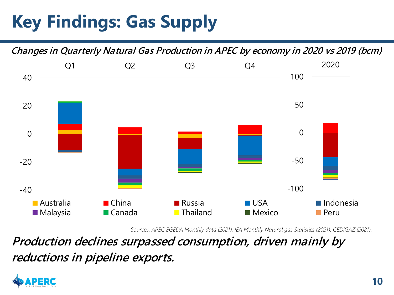### **Key Findings: Gas Supply**



*Sources: APEC EGEDA Monthly data (2021), IEA Monthly Natural gas Statistics (2021), CEDIGAZ (2021).* 

**Production declines surpassed consumption, driven mainly by reductions in pipeline exports.**

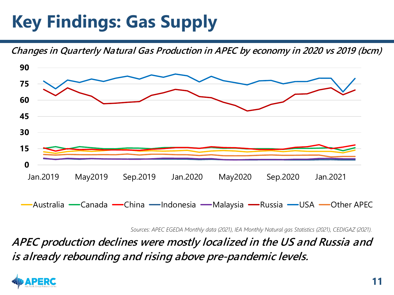#### **Key Findings: Gas Supply**

**Changes in Quarterly Natural Gas Production in APEC by economy in 2020 vs 2019 (bcm)**



*Sources: APEC EGEDA Monthly data (2021), IEA Monthly Natural gas Statistics (2021), CEDIGAZ (2021).* 

**APEC production declines were mostly localized in the US and Russia and is already rebounding and rising above pre-pandemic levels.**

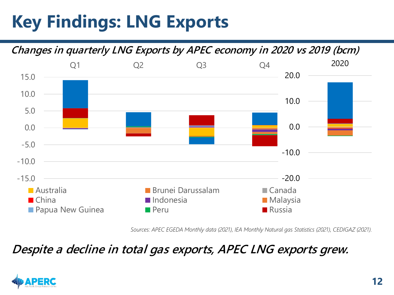### **Key Findings: LNG Exports**

**Changes in quarterly LNG Exports by APEC economy in 2020 vs 2019 (bcm)**



*Sources: APEC EGEDA Monthly data (2021), IEA Monthly Natural gas Statistics (2021), CEDIGAZ (2021).* 

#### **Despite a decline in total gas exports, APEC LNG exports grew.**

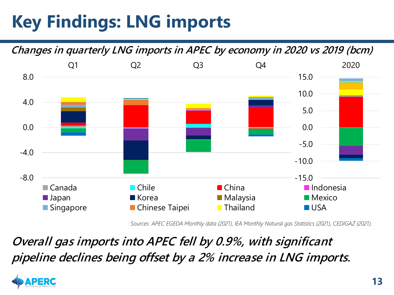### **Key Findings: LNG imports**

**Changes in quarterly LNG imports in APEC by economy in 2020 vs 2019 (bcm)** -8.0  $-4.0$ 0.0 4.0 8.0 Q1 Q2 Q3 Q4 Canada Chile China Indonesia ■ Japan Malaysia Malaysia Mexico ■ Singapore ■ Chinese Taipei ■ Thailand ■ USA -15.0 -10.0 -5.0 0.0 5.0 10.0 15.0 2020

*Sources: APEC EGEDA Monthly data (2021), IEA Monthly Natural gas Statistics (2021), CEDIGAZ (2021).* 

**Overall gas imports into APEC fell by 0.9%, with significant pipeline declines being offset by a 2% increase in LNG imports.**

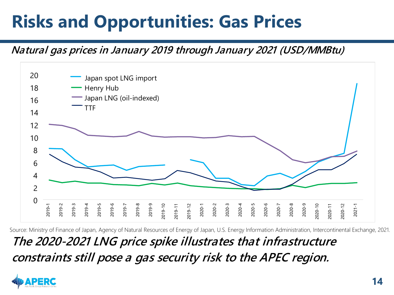#### **Risks and Opportunities: Gas Prices**

#### **Natural gas prices in January 2019 through January 2021 (USD/MMBtu)**



**The 2020-2021 LNG price spike illustrates that infrastructure constraints still pose a gas security risk to the APEC region.** Source: Ministry of Finance of Japan, Agency of Natural Resources of Energy of Japan, U.S. Energy Information Administration, Intercontinental Exchange, 2021.

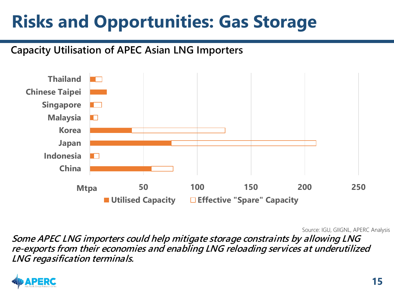#### **Risks and Opportunities: Gas Storage**

#### **Capacity Utilisation of APEC Asian LNG Importers**



Source: IGU, GIIGNL, APERC Analysis

**Some APEC LNG importers could help mitigate storage constraints by allowing LNG re-exports from their economies and enabling LNG reloading services at underutilized LNG regasification terminals.**

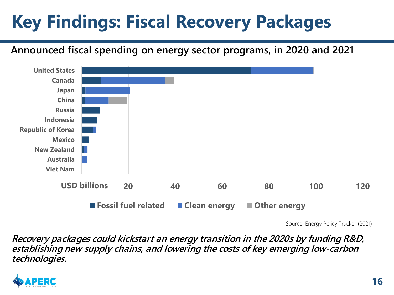# **Key Findings: Fiscal Recovery Packages**

**Announced fiscal spending on energy sector programs, in 2020 and 2021**



Source: Energy Policy Tracker (2021)

**Recovery packages could kickstart an energy transition in the 2020s by funding R&D, establishing new supply chains, and lowering the costs of key emerging low-carbon technologies.** 

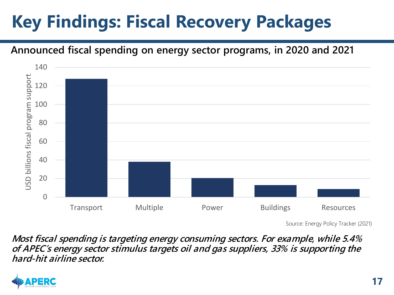# **Key Findings: Fiscal Recovery Packages**

#### **Announced fiscal spending on energy sector programs, in 2020 and 2021**



Source: Energy Policy Tracker (2021)

**Most fiscal spending is targeting energy consuming sectors. For example, while 5.4% of APEC's energy sector stimulus targets oil and gas suppliers, 33% is supporting the hard-hit airline sector.**